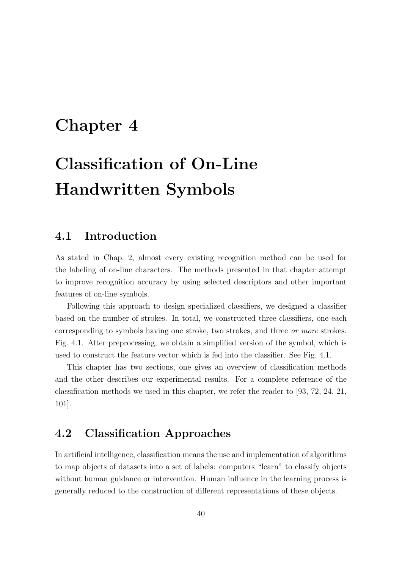## Chapter 4

# Classification of On-Line Handwritten Symbols

## 4.1 Introduction

As stated in Chap. 2, almost every existing recognition method can be used for the labeling of on-line characters. The methods presented in that chapter attempt to improve recognition accuracy by using selected descriptors and other important features of on-line symbols.

Following this approach to design specialized classifiers, we designed a classifier based on the number of strokes. In total, we constructed three classifiers, one each corresponding to symbols having one stroke, two strokes, and three or more strokes. Fig. 4.1. After preprocessing, we obtain a simplified version of the symbol, which is used to construct the feature vector which is fed into the classifier. See Fig. 4.1.

This chapter has two sections, one gives an overview of classification methods and the other describes our experimental results. For a complete reference of the classification methods we used in this chapter, we refer the reader to [93, 72, 24, 21, 101].

## 4.2 Classification Approaches

In artificial intelligence, classification means the use and implementation of algorithms to map objects of datasets into a set of labels: computers "learn" to classify objects without human guidance or intervention. Human influence in the learning process is generally reduced to the construction of different representations of these objects.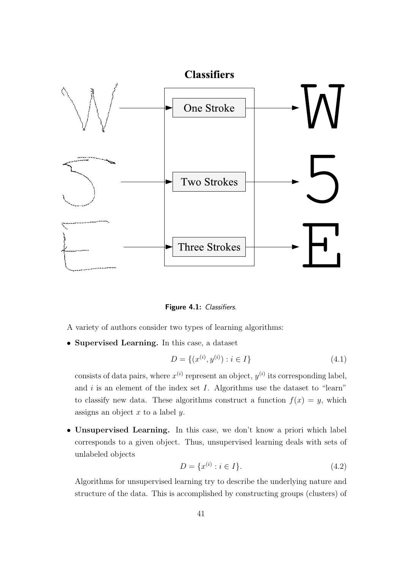

Figure 4.1: Classifiers.

A variety of authors consider two types of learning algorithms:

• Supervised Learning. In this case, a dataset

$$
D = \{(x^{(i)}, y^{(i)}): i \in I\}
$$
\n(4.1)

consists of data pairs, where  $x^{(i)}$  represent an object,  $y^{(i)}$  its corresponding label, and  $i$  is an element of the index set  $I$ . Algorithms use the dataset to "learn" to classify new data. These algorithms construct a function  $f(x) = y$ , which assigns an object  $x$  to a label  $y$ .

• Unsupervised Learning. In this case, we don't know a priori which label corresponds to a given object. Thus, unsupervised learning deals with sets of unlabeled objects

$$
D = \{x^{(i)} : i \in I\}.
$$
\n(4.2)

Algorithms for unsupervised learning try to describe the underlying nature and structure of the data. This is accomplished by constructing groups (clusters) of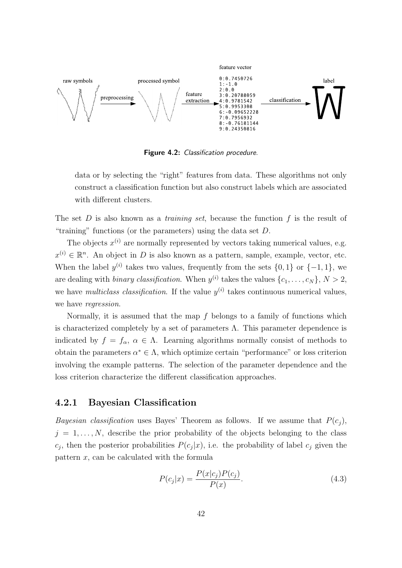

Figure 4.2: Classification procedure.

data or by selecting the "right" features from data. These algorithms not only construct a classification function but also construct labels which are associated with different clusters.

The set  $D$  is also known as a *training set*, because the function  $f$  is the result of "training" functions (or the parameters) using the data set  $D$ .

The objects  $x^{(i)}$  are normally represented by vectors taking numerical values, e.g.  $x^{(i)} \in \mathbb{R}^n$ . An object in D is also known as a pattern, sample, example, vector, etc. When the label  $y^{(i)}$  takes two values, frequently from the sets  $\{0, 1\}$  or  $\{-1, 1\}$ , we are dealing with *binary classification*. When  $y^{(i)}$  takes the values  $\{c_1, \ldots, c_N\}, N > 2$ , we have *multiclass classification*. If the value  $y^{(i)}$  takes continuous numerical values, we have regression.

Normally, it is assumed that the map f belongs to a family of functions which is characterized completely by a set of parameters  $\Lambda$ . This parameter dependence is indicated by  $f = f_{\alpha}, \alpha \in \Lambda$ . Learning algorithms normally consist of methods to obtain the parameters  $\alpha^* \in \Lambda$ , which optimize certain "performance" or loss criterion involving the example patterns. The selection of the parameter dependence and the loss criterion characterize the different classification approaches.

#### 4.2.1 Bayesian Classification

Bayesian classification uses Bayes' Theorem as follows. If we assume that  $P(c_i)$ ,  $j = 1, \ldots, N$ , describe the prior probability of the objects belonging to the class  $c_j$ , then the posterior probabilities  $P(c_j|x)$ , i.e. the probability of label  $c_j$  given the pattern x, can be calculated with the formula

$$
P(c_j|x) = \frac{P(x|c_j)P(c_j)}{P(x)}.
$$
\n(4.3)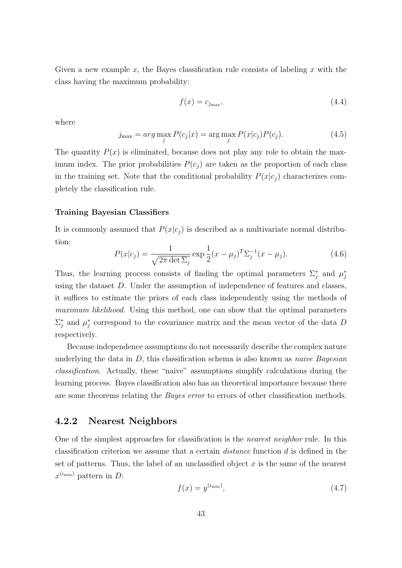Given a new example x, the Bayes classification rule consists of labeling x with the class having the maximum probability:

$$
f(x) = c_{j_{\text{max}}},\tag{4.4}
$$

where

$$
j_{\max} = arg \max_{j} P(c_j|x) = \arg \max_{j} P(x|c_j)P(c_j).
$$
 (4.5)

The quantity  $P(x)$  is eliminated, because does not play any role to obtain the maximum index. The prior probabilities  $P(c_j)$  are taken as the proportion of each class in the training set. Note that the conditional probability  $P(x|c_i)$  characterizes completely the classification rule.

#### Training Bayesian Classifiers

It is commonly assumed that  $P(x|c_i)$  is described as a multivariate normal distribution:

$$
P(x|c_j) = \frac{1}{\sqrt{2\pi \det \Sigma_j}} \exp \frac{1}{2} (x - \mu_j)^T \Sigma_j^{-1} (x - \mu_j).
$$
 (4.6)

Thus, the learning process consists of finding the optimal parameters  $\Sigma_i^*$  $_j^*$  and  $\mu_j^*$ j using the dataset D. Under the assumption of independence of features and classes, it suffices to estimate the priors of each class independently using the methods of maximum likelihood. Using this method, one can show that the optimal parameters  $\Sigma_i^*$  $_j^*$  and  $\mu_j^*$  $j$  correspond to the covariance matrix and the mean vector of the data D respectively.

Because independence assumptions do not necessarily describe the complex nature underlying the data in  $D$ , this classification schema is also known as *naive Bayesian* classification. Actually, these "naive" assumptions simplify calculations during the learning process. Bayes classification also has an theoretical importance because there are some theorems relating the Bayes error to errors of other classification methods.

#### 4.2.2 Nearest Neighbors

One of the simplest approaches for classification is the nearest neighbor rule. In this classification criterion we assume that a certain *distance* function  $d$  is defined in the set of patterns. Thus, the label of an unclassified object  $x$  is the same of the nearest  $x^{(i_{\min})}$  pattern in D:

$$
f(x) = y^{(i_{\min})},\tag{4.7}
$$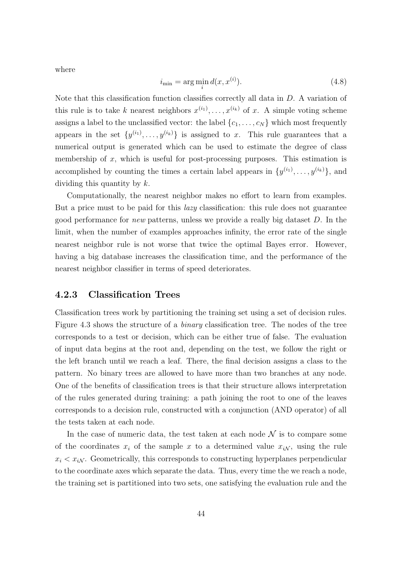where

$$
i_{\min} = \arg\min_{i} d(x, x^{(i)}). \tag{4.8}
$$

Note that this classification function classifies correctly all data in D. A variation of this rule is to take k nearest neighbors  $x^{(i_1)}, \ldots, x^{(i_k)}$  of x. A simple voting scheme assigns a label to the unclassified vector: the label  $\{c_1, \ldots, c_N\}$  which most frequently appears in the set  $\{y^{(i_1)}, \ldots, y^{(i_k)}\}$  is assigned to x. This rule guarantees that a numerical output is generated which can be used to estimate the degree of class membership of  $x$ , which is useful for post-processing purposes. This estimation is accomplished by counting the times a certain label appears in  $\{y^{(i_1)}, \ldots, y^{(i_k)}\}$ , and dividing this quantity by k.

Computationally, the nearest neighbor makes no effort to learn from examples. But a price must to be paid for this *lazy* classification: this rule does not guarantee good performance for new patterns, unless we provide a really big dataset D. In the limit, when the number of examples approaches infinity, the error rate of the single nearest neighbor rule is not worse that twice the optimal Bayes error. However, having a big database increases the classification time, and the performance of the nearest neighbor classifier in terms of speed deteriorates.

#### 4.2.3 Classification Trees

Classification trees work by partitioning the training set using a set of decision rules. Figure 4.3 shows the structure of a binary classification tree. The nodes of the tree corresponds to a test or decision, which can be either true of false. The evaluation of input data begins at the root and, depending on the test, we follow the right or the left branch until we reach a leaf. There, the final decision assigns a class to the pattern. No binary trees are allowed to have more than two branches at any node. One of the benefits of classification trees is that their structure allows interpretation of the rules generated during training: a path joining the root to one of the leaves corresponds to a decision rule, constructed with a conjunction (AND operator) of all the tests taken at each node.

In the case of numeric data, the test taken at each node  $\mathcal N$  is to compare some of the coordinates  $x_i$  of the sample x to a determined value  $x_i\mathcal{N}$ , using the rule  $x_i < x_i$ . Geometrically, this corresponds to constructing hyperplanes perpendicular to the coordinate axes which separate the data. Thus, every time the we reach a node, the training set is partitioned into two sets, one satisfying the evaluation rule and the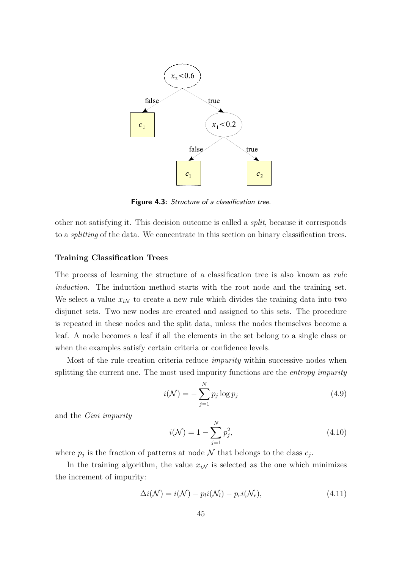

Figure 4.3: Structure of a classification tree.

other not satisfying it. This decision outcome is called a split, because it corresponds to a splitting of the data. We concentrate in this section on binary classification trees.

#### Training Classification Trees

The process of learning the structure of a classification tree is also known as rule induction. The induction method starts with the root node and the training set. We select a value  $x_{iN}$  to create a new rule which divides the training data into two disjunct sets. Two new nodes are created and assigned to this sets. The procedure is repeated in these nodes and the split data, unless the nodes themselves become a leaf. A node becomes a leaf if all the elements in the set belong to a single class or when the examples satisfy certain criteria or confidence levels.

Most of the rule creation criteria reduce *impurity* within successive nodes when splitting the current one. The most used impurity functions are the *entropy impurity* 

$$
i(\mathcal{N}) = -\sum_{j=1}^{N} p_j \log p_j \tag{4.9}
$$

and the Gini impurity

$$
i(\mathcal{N}) = 1 - \sum_{j=1}^{N} p_j^2,
$$
\n(4.10)

where  $p_j$  is the fraction of patterns at node  $N$  that belongs to the class  $c_j$ .

In the training algorithm, the value  $x_{iN}$  is selected as the one which minimizes the increment of impurity:

$$
\Delta i(\mathcal{N}) = i(\mathcal{N}) - p_l i(\mathcal{N}_l) - p_r i(\mathcal{N}_r), \qquad (4.11)
$$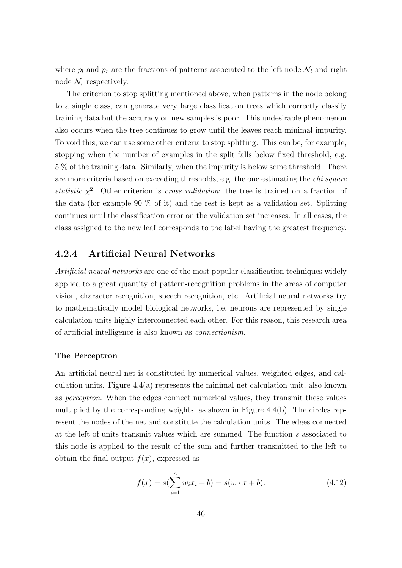where  $p_l$  and  $p_r$  are the fractions of patterns associated to the left node  $\mathcal{N}_l$  and right node  $\mathcal{N}_r$  respectively.

The criterion to stop splitting mentioned above, when patterns in the node belong to a single class, can generate very large classification trees which correctly classify training data but the accuracy on new samples is poor. This undesirable phenomenon also occurs when the tree continues to grow until the leaves reach minimal impurity. To void this, we can use some other criteria to stop splitting. This can be, for example, stopping when the number of examples in the split falls below fixed threshold, e.g. 5 % of the training data. Similarly, when the impurity is below some threshold. There are more criteria based on exceeding thresholds, e.g. the one estimating the chi square statistic  $\chi^2$ . Other criterion is cross validation: the tree is trained on a fraction of the data (for example 90 % of it) and the rest is kept as a validation set. Splitting continues until the classification error on the validation set increases. In all cases, the class assigned to the new leaf corresponds to the label having the greatest frequency.

#### 4.2.4 Artificial Neural Networks

Artificial neural networks are one of the most popular classification techniques widely applied to a great quantity of pattern-recognition problems in the areas of computer vision, character recognition, speech recognition, etc. Artificial neural networks try to mathematically model biological networks, i.e. neurons are represented by single calculation units highly interconnected each other. For this reason, this research area of artificial intelligence is also known as connectionism.

#### The Perceptron

An artificial neural net is constituted by numerical values, weighted edges, and calculation units. Figure 4.4(a) represents the minimal net calculation unit, also known as perceptron. When the edges connect numerical values, they transmit these values multiplied by the corresponding weights, as shown in Figure 4.4(b). The circles represent the nodes of the net and constitute the calculation units. The edges connected at the left of units transmit values which are summed. The function s associated to this node is applied to the result of the sum and further transmitted to the left to obtain the final output  $f(x)$ , expressed as

$$
f(x) = s(\sum_{i=1}^{n} w_i x_i + b) = s(w \cdot x + b).
$$
 (4.12)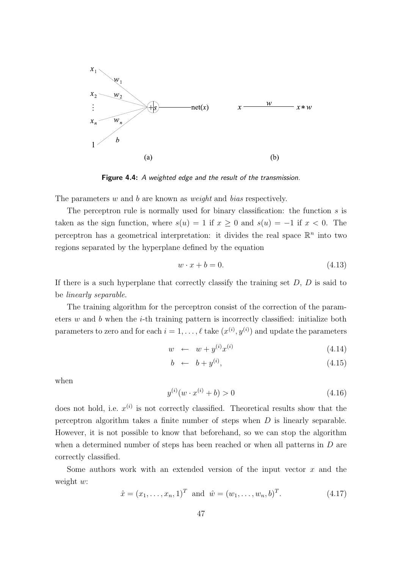

Figure 4.4: A weighted edge and the result of the transmission.

The parameters w and b are known as weight and bias respectively.

The perceptron rule is normally used for binary classification: the function  $s$  is taken as the sign function, where  $s(u) = 1$  if  $x \ge 0$  and  $s(u) = -1$  if  $x < 0$ . The perceptron has a geometrical interpretation: it divides the real space  $\mathbb{R}^n$  into two regions separated by the hyperplane defined by the equation

$$
w \cdot x + b = 0. \tag{4.13}
$$

If there is a such hyperplane that correctly classify the training set  $D, D$  is said to be linearly separable.

The training algorithm for the perceptron consist of the correction of the parameters w and b when the i-th training pattern is incorrectly classified: initialize both parameters to zero and for each  $i = 1, \ldots, \ell$  take  $(x^{(i)}, y^{(i)})$  and update the parameters

$$
w \leftarrow w + y^{(i)} x^{(i)} \tag{4.14}
$$

$$
b \leftarrow b + y^{(i)}, \tag{4.15}
$$

when

$$
y^{(i)}(w \cdot x^{(i)} + b) > 0 \tag{4.16}
$$

does not hold, i.e.  $x^{(i)}$  is not correctly classified. Theoretical results show that the perceptron algorithm takes a finite number of steps when D is linearly separable. However, it is not possible to know that beforehand, so we can stop the algorithm when a determined number of steps has been reached or when all patterns in  $D$  are correctly classified.

Some authors work with an extended version of the input vector  $x$  and the weight w:

$$
\hat{x} = (x_1, \dots, x_n, 1)^T
$$
 and  $\hat{w} = (w_1, \dots, w_n, b)^T$ . (4.17)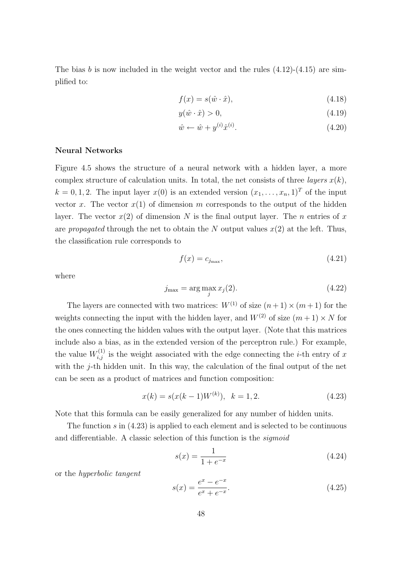The bias b is now included in the weight vector and the rules  $(4.12)-(4.15)$  are simplified to:

$$
f(x) = s(\hat{w} \cdot \hat{x}),\tag{4.18}
$$

$$
y(\hat{w} \cdot \hat{x}) > 0,\tag{4.19}
$$

$$
\hat{w} \leftarrow \hat{w} + y^{(i)} \hat{x}^{(i)}.\tag{4.20}
$$

#### Neural Networks

Figure 4.5 shows the structure of a neural network with a hidden layer, a more complex structure of calculation units. In total, the net consists of three layers  $x(k)$ ,  $k = 0, 1, 2$ . The input layer  $x(0)$  is an extended version  $(x_1, \ldots, x_n, 1)^T$  of the input vector x. The vector  $x(1)$  of dimension m corresponds to the output of the hidden layer. The vector  $x(2)$  of dimension N is the final output layer. The n entries of x are propagated through the net to obtain the N output values  $x(2)$  at the left. Thus, the classification rule corresponds to

$$
f(x) = c_{j_{\text{max}}},\tag{4.21}
$$

where

$$
j_{\max} = \arg\max_{j} x_j(2). \tag{4.22}
$$

The layers are connected with two matrices:  $W^{(1)}$  of size  $(n+1) \times (m+1)$  for the weights connecting the input with the hidden layer, and  $W^{(2)}$  of size  $(m+1) \times N$  for the ones connecting the hidden values with the output layer. (Note that this matrices include also a bias, as in the extended version of the perceptron rule.) For example, the value  $W_{i,j}^{(1)}$  is the weight associated with the edge connecting the *i*-th entry of x with the  $j$ -th hidden unit. In this way, the calculation of the final output of the net can be seen as a product of matrices and function composition:

$$
x(k) = s(x(k-1)W^{(k)}), \quad k = 1, 2.
$$
\n(4.23)

Note that this formula can be easily generalized for any number of hidden units.

The function  $s$  in  $(4.23)$  is applied to each element and is selected to be continuous and differentiable. A classic selection of this function is the sigmoid

$$
s(x) = \frac{1}{1 + e^{-x}}
$$
\n(4.24)

or the hyperbolic tangent

$$
s(x) = \frac{e^x - e^{-x}}{e^x + e^{-x}}.
$$
\n(4.25)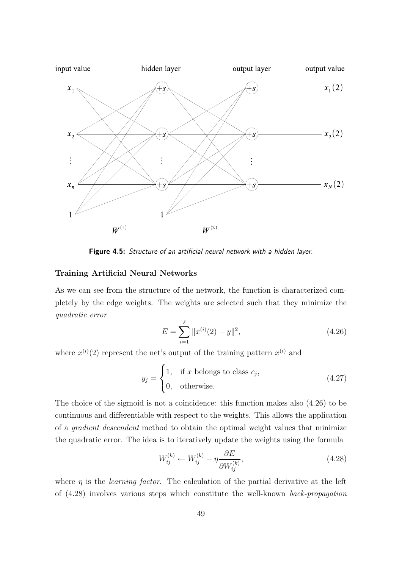

Figure 4.5: Structure of an artificial neural network with a hidden layer.

#### Training Artificial Neural Networks

As we can see from the structure of the network, the function is characterized completely by the edge weights. The weights are selected such that they minimize the quadratic error

$$
E = \sum_{i=1}^{\ell} \|x^{(i)}(2) - y\|^2,
$$
\n(4.26)

where  $x^{(i)}(2)$  represent the net's output of the training pattern  $x^{(i)}$  and

$$
y_j = \begin{cases} 1, & \text{if } x \text{ belongs to class } c_j, \\ 0, & \text{otherwise.} \end{cases}
$$
 (4.27)

The choice of the sigmoid is not a coincidence: this function makes also (4.26) to be continuous and differentiable with respect to the weights. This allows the application of a gradient descendent method to obtain the optimal weight values that minimize the quadratic error. The idea is to iteratively update the weights using the formula

$$
W_{ij}^{(k)} \leftarrow W_{ij}^{(k)} - \eta \frac{\partial E}{\partial W_{ij}^{(k)}},\tag{4.28}
$$

where  $\eta$  is the *learning factor*. The calculation of the partial derivative at the left of (4.28) involves various steps which constitute the well-known back-propagation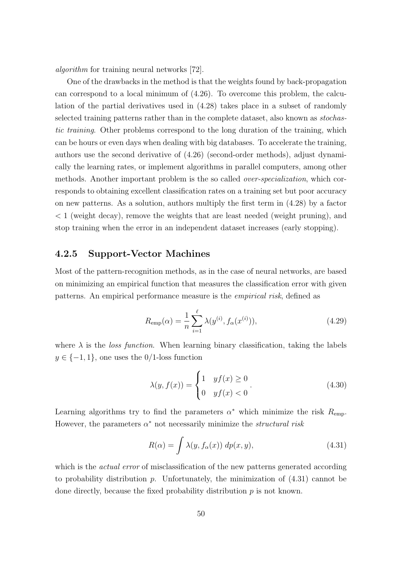algorithm for training neural networks [72].

One of the drawbacks in the method is that the weights found by back-propagation can correspond to a local minimum of (4.26). To overcome this problem, the calculation of the partial derivatives used in (4.28) takes place in a subset of randomly selected training patterns rather than in the complete dataset, also known as stochastic training. Other problems correspond to the long duration of the training, which can be hours or even days when dealing with big databases. To accelerate the training, authors use the second derivative of (4.26) (second-order methods), adjust dynamically the learning rates, or implement algorithms in parallel computers, among other methods. Another important problem is the so called over-specialization, which corresponds to obtaining excellent classification rates on a training set but poor accuracy on new patterns. As a solution, authors multiply the first term in (4.28) by a factor < 1 (weight decay), remove the weights that are least needed (weight pruning), and stop training when the error in an independent dataset increases (early stopping).

#### 4.2.5 Support-Vector Machines

Most of the pattern-recognition methods, as in the case of neural networks, are based on minimizing an empirical function that measures the classification error with given patterns. An empirical performance measure is the empirical risk, defined as

$$
R_{\rm emp}(\alpha) = \frac{1}{n} \sum_{i=1}^{\ell} \lambda(y^{(i)}, f_{\alpha}(x^{(i)})),
$$
\n(4.29)

where  $\lambda$  is the *loss function*. When learning binary classification, taking the labels  $y \in \{-1, 1\}$ , one uses the 0/1-loss function

$$
\lambda(y, f(x)) = \begin{cases} 1 & yf(x) \ge 0 \\ 0 & yf(x) < 0 \end{cases}.
$$
 (4.30)

Learning algorithms try to find the parameters  $\alpha^*$  which minimize the risk  $R_{\text{emp}}$ . However, the parameters  $\alpha^*$  not necessarily minimize the *structural risk* 

$$
R(\alpha) = \int \lambda(y, f_{\alpha}(x)) \, dp(x, y), \tag{4.31}
$$

which is the *actual error* of misclassification of the new patterns generated according to probability distribution p. Unfortunately, the minimization of  $(4.31)$  cannot be done directly, because the fixed probability distribution  $p$  is not known.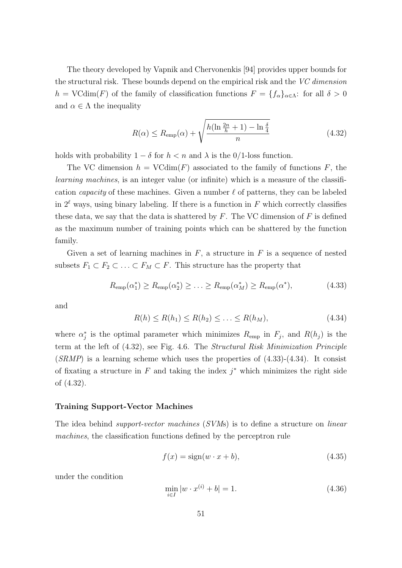The theory developed by Vapnik and Chervonenkis [94] provides upper bounds for the structural risk. These bounds depend on the empirical risk and the VC dimension h = VCdim(F) of the family of classification functions  $F = \{f_{\alpha}\}_{{\alpha \in {\Lambda}}}$ : for all  $\delta > 0$ and  $\alpha \in \Lambda$  the inequality

$$
R(\alpha) \le R_{\text{emp}}(\alpha) + \sqrt{\frac{h(\ln \frac{2n}{h} + 1) - \ln \frac{\delta}{4}}{n}}
$$
(4.32)

holds with probability  $1 - \delta$  for  $h < n$  and  $\lambda$  is the 0/1-loss function.

The VC dimension  $h = \text{VCdim}(F)$  associated to the family of functions F, the learning machines, is an integer value (or infinite) which is a measure of the classification *capacity* of these machines. Given a number  $\ell$  of patterns, they can be labeled in  $2^{\ell}$  ways, using binary labeling. If there is a function in F which correctly classifies these data, we say that the data is shattered by  $F$ . The VC dimension of  $F$  is defined as the maximum number of training points which can be shattered by the function family.

Given a set of learning machines in  $F$ , a structure in  $F$  is a sequence of nested subsets  $F_1 \subset F_2 \subset \ldots \subset F_M \subset F$ . This structure has the property that

$$
R_{\text{emp}}(\alpha_1^*) \ge R_{\text{emp}}(\alpha_2^*) \ge \ldots \ge R_{\text{emp}}(\alpha_M^*) \ge R_{\text{emp}}(\alpha^*),\tag{4.33}
$$

and

$$
R(h) \le R(h_1) \le R(h_2) \le \ldots \le R(h_M),\tag{4.34}
$$

where  $\alpha_i^*$ <sup>\*</sup>/<sub>j</sub> is the optimal parameter which minimizes  $R_{emp}$  in  $F_j$ , and  $R(h_j)$  is the term at the left of (4.32), see Fig. 4.6. The Structural Risk Minimization Principle  $(SRMP)$  is a learning scheme which uses the properties of  $(4.33)-(4.34)$ . It consist of fixating a structure in  $F$  and taking the index  $j^*$  which minimizes the right side of (4.32).

#### Training Support-Vector Machines

The idea behind *support-vector machines* (SVMs) is to define a structure on *linear* machines, the classification functions defined by the perceptron rule

$$
f(x) = sign(w \cdot x + b), \tag{4.35}
$$

under the condition

$$
\min_{i \in I} |w \cdot x^{(i)} + b| = 1. \tag{4.36}
$$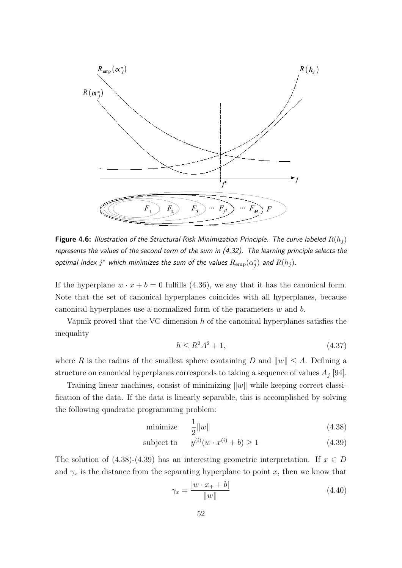

**Figure 4.6:** Illustration of the Structural Risk Minimization Principle. The curve labeled  $R(h_i)$ represents the values of the second term of the sum in (4.32). The learning principle selects the optimal index  $j^*$  which minimizes the sum of the values  $R_{\rm emp}(\alpha_j^*)$  $_{j}^{\ast })$  and  $R(h_{j}).$ 

If the hyperplane  $w \cdot x + b = 0$  fulfills (4.36), we say that it has the canonical form. Note that the set of canonical hyperplanes coincides with all hyperplanes, because canonical hyperplanes use a normalized form of the parameters w and b.

Vapnik proved that the VC dimension  $h$  of the canonical hyperplanes satisfies the inequality

$$
h \le R^2 A^2 + 1,\tag{4.37}
$$

where R is the radius of the smallest sphere containing D and  $||w|| \leq A$ . Defining a structure on canonical hyperplanes corresponds to taking a sequence of values  $A_j$  [94].

Training linear machines, consist of minimizing  $||w||$  while keeping correct classification of the data. If the data is linearly separable, this is accomplished by solving the following quadratic programming problem:

$$
\text{minimize} \quad \frac{1}{2} \|w\| \tag{4.38}
$$

subject to 
$$
y^{(i)}(w \cdot x^{(i)} + b) \ge 1
$$
 (4.39)

The solution of  $(4.38)-(4.39)$  has an interesting geometric interpretation. If  $x \in D$ and  $\gamma_x$  is the distance from the separating hyperplane to point x, then we know that

$$
\gamma_x = \frac{|w \cdot x_+ + b|}{\|w\|} \tag{4.40}
$$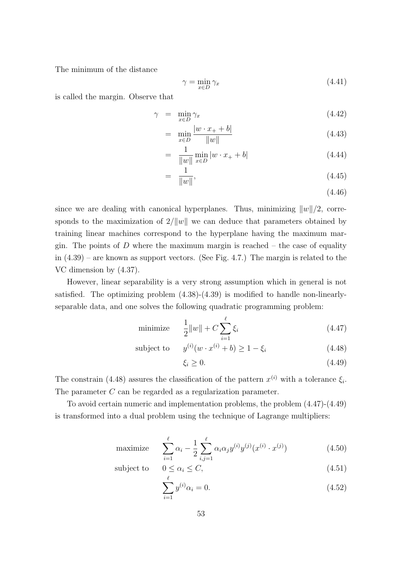The minimum of the distance

$$
\gamma = \min_{x \in D} \gamma_x \tag{4.41}
$$

is called the margin. Observe that

$$
\gamma = \min_{x \in D} \gamma_x \tag{4.42}
$$

$$
= \min_{x \in D} \frac{|w \cdot x_+ + b|}{\|w\|} \tag{4.43}
$$

$$
= \frac{1}{\|w\|} \min_{x \in D} |w \cdot x_+ + b| \tag{4.44}
$$

$$
= \frac{1}{\|w\|},\tag{4.45}
$$

(4.46)

since we are dealing with canonical hyperplanes. Thus, minimizing  $||w||/2$ , corresponds to the maximization of  $2/||w||$  we can deduce that parameters obtained by training linear machines correspond to the hyperplane having the maximum margin. The points of  $D$  where the maximum margin is reached  $-$  the case of equality in (4.39) – are known as support vectors. (See Fig. 4.7.) The margin is related to the VC dimension by (4.37).

However, linear separability is a very strong assumption which in general is not satisfied. The optimizing problem (4.38)-(4.39) is modified to handle non-linearlyseparable data, and one solves the following quadratic programming problem:

minimize 
$$
\frac{1}{2} ||w|| + C \sum_{i=1}^{\ell} \xi_i
$$
 (4.47)

subject to  $y^{(i)}(w \cdot x^{(i)} + b) \ge 1 - \xi_i$  (4.48)

$$
\xi_i \ge 0. \tag{4.49}
$$

The constrain (4.48) assures the classification of the pattern  $x^{(i)}$  with a tolerance  $\xi_i$ . The parameter C can be regarded as a regularization parameter.

To avoid certain numeric and implementation problems, the problem (4.47)-(4.49) is transformed into a dual problem using the technique of Lagrange multipliers:

maximize 
$$
\sum_{i=1}^{\ell} \alpha_i - \frac{1}{2} \sum_{i,j=1}^{\ell} \alpha_i \alpha_j y^{(i)} y^{(j)} (x^{(i)} \cdot x^{(j)})
$$
(4.50)

subject to 
$$
0 \le \alpha_i \le C,
$$
 
$$
(4.51)
$$

$$
\sum_{i=1}^{8} y^{(i)} \alpha_i = 0. \tag{4.52}
$$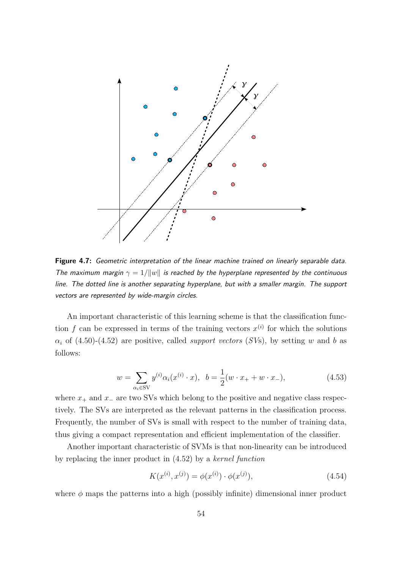

Figure 4.7: Geometric interpretation of the linear machine trained on linearly separable data. The maximum margin  $\gamma = 1/||w||$  is reached by the hyperplane represented by the continuous line. The dotted line is another separating hyperplane, but with a smaller margin. The support vectors are represented by wide-margin circles.

An important characteristic of this learning scheme is that the classification function f can be expressed in terms of the training vectors  $x^{(i)}$  for which the solutions  $\alpha_i$  of (4.50)-(4.52) are positive, called *support vectors* (SVs), by setting w and b as follows:

$$
w = \sum_{\alpha_i \in SV} y^{(i)} \alpha_i(x^{(i)} \cdot x), \quad b = \frac{1}{2}(w \cdot x_+ + w \cdot x_-), \tag{4.53}
$$

where  $x_+$  and  $x_-\$  are two SVs which belong to the positive and negative class respectively. The SVs are interpreted as the relevant patterns in the classification process. Frequently, the number of SVs is small with respect to the number of training data, thus giving a compact representation and efficient implementation of the classifier.

Another important characteristic of SVMs is that non-linearity can be introduced by replacing the inner product in (4.52) by a kernel function

$$
K(x^{(i)}, x^{(j)}) = \phi(x^{(i)}) \cdot \phi(x^{(j)}),
$$
\n(4.54)

where  $\phi$  maps the patterns into a high (possibly infinite) dimensional inner product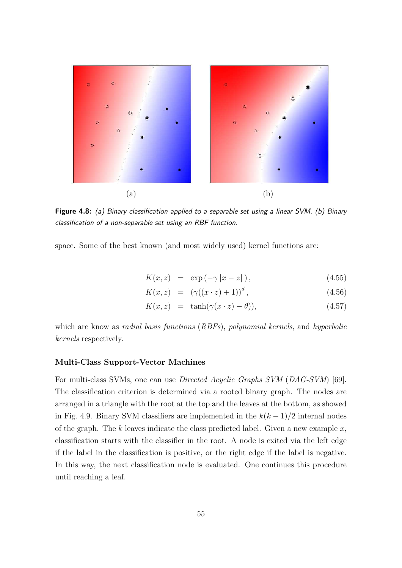

Figure 4.8: (a) Binary classification applied to a separable set using a linear SVM. (b) Binary classification of a non-separable set using an RBF function.

space. Some of the best known (and most widely used) kernel functions are:

$$
K(x, z) = \exp(-\gamma \|x - z\|), \qquad (4.55)
$$

$$
K(x, z) = (\gamma((x \cdot z) + 1))^d, \tag{4.56}
$$

$$
K(x, z) = \tanh(\gamma(x \cdot z) - \theta)), \qquad (4.57)
$$

which are know as *radial basis functions* (*RBFs*), *polynomial kernels*, and *hyperbolic* kernels respectively.

#### Multi-Class Support-Vector Machines

For multi-class SVMs, one can use Directed Acyclic Graphs SVM (DAG-SVM) [69]. The classification criterion is determined via a rooted binary graph. The nodes are arranged in a triangle with the root at the top and the leaves at the bottom, as showed in Fig. 4.9. Binary SVM classifiers are implemented in the  $k(k-1)/2$  internal nodes of the graph. The k leaves indicate the class predicted label. Given a new example  $x$ , classification starts with the classifier in the root. A node is exited via the left edge if the label in the classification is positive, or the right edge if the label is negative. In this way, the next classification node is evaluated. One continues this procedure until reaching a leaf.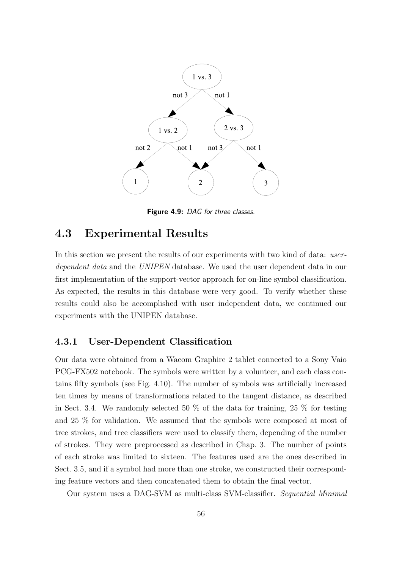

Figure 4.9: DAG for three classes.

## 4.3 Experimental Results

In this section we present the results of our experiments with two kind of data: userdependent data and the UNIPEN database. We used the user dependent data in our first implementation of the support-vector approach for on-line symbol classification. As expected, the results in this database were very good. To verify whether these results could also be accomplished with user independent data, we continued our experiments with the UNIPEN database.

#### 4.3.1 User-Dependent Classification

Our data were obtained from a Wacom Graphire 2 tablet connected to a Sony Vaio PCG-FX502 notebook. The symbols were written by a volunteer, and each class contains fifty symbols (see Fig. 4.10). The number of symbols was artificially increased ten times by means of transformations related to the tangent distance, as described in Sect. 3.4. We randomly selected 50  $\%$  of the data for training, 25  $\%$  for testing and 25 % for validation. We assumed that the symbols were composed at most of tree strokes, and tree classifiers were used to classify them, depending of the number of strokes. They were preprocessed as described in Chap. 3. The number of points of each stroke was limited to sixteen. The features used are the ones described in Sect. 3.5, and if a symbol had more than one stroke, we constructed their corresponding feature vectors and then concatenated them to obtain the final vector.

Our system uses a DAG-SVM as multi-class SVM-classifier. Sequential Minimal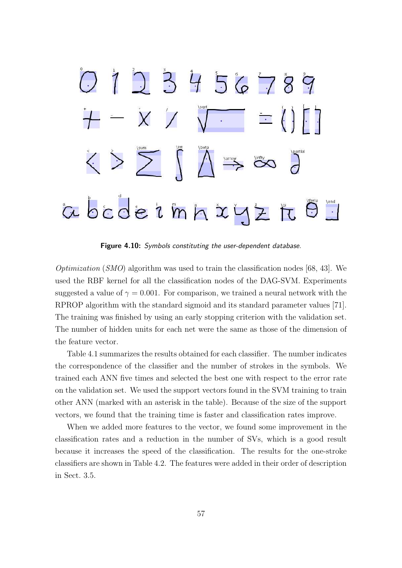

Figure 4.10: Symbols constituting the user-dependent database.

*Optimization* (*SMO*) algorithm was used to train the classification nodes [68, 43]. We used the RBF kernel for all the classification nodes of the DAG-SVM. Experiments suggested a value of  $\gamma = 0.001$ . For comparison, we trained a neural network with the RPROP algorithm with the standard sigmoid and its standard parameter values [71]. The training was finished by using an early stopping criterion with the validation set. The number of hidden units for each net were the same as those of the dimension of the feature vector.

Table 4.1 summarizes the results obtained for each classifier. The number indicates the correspondence of the classifier and the number of strokes in the symbols. We trained each ANN five times and selected the best one with respect to the error rate on the validation set. We used the support vectors found in the SVM training to train other ANN (marked with an asterisk in the table). Because of the size of the support vectors, we found that the training time is faster and classification rates improve.

When we added more features to the vector, we found some improvement in the classification rates and a reduction in the number of SVs, which is a good result because it increases the speed of the classification. The results for the one-stroke classifiers are shown in Table 4.2. The features were added in their order of description in Sect. 3.5.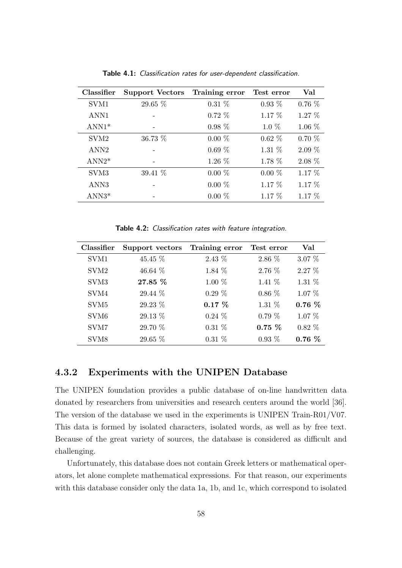| Classifier       | Support Vectors Training error |          | Test error | Val      |
|------------------|--------------------------------|----------|------------|----------|
| SVM1             | 29.65 %                        | $0.31\%$ | $0.93\%$   | $0.76\%$ |
| ANN1             |                                | $0.72\%$ | $1.17\%$   | $1.27\%$ |
| $ANN1*$          |                                | $0.98\%$ | $1.0\%$    | $1.06\%$ |
| SVM <sub>2</sub> | 36.73 %                        | $0.00\%$ | $0.62\%$   | $0.70\%$ |
| ANN <sub>2</sub> |                                | $0.69\%$ | $1.31\%$   | $2.09\%$ |
| $ANN2*$          |                                | 1.26 %   | 1.78 %     | $2.08\%$ |
| SVM <sub>3</sub> | 39.41 %                        | $0.00\%$ | $0.00\%$   | $1.17\%$ |
| ANN <sub>3</sub> |                                | $0.00\%$ | $1.17\%$   | 1.17 %   |
| $ANN3*$          |                                | $0.00\%$ | $1.17\%$   | $1.17\%$ |

Table 4.1: Classification rates for user-dependent classification.

Table 4.2: Classification rates with feature integration.

| Classifier       | Support vectors Training error |          | Test error | Val      |
|------------------|--------------------------------|----------|------------|----------|
| SVM1             | 45.45 %                        | $2.43\%$ | 2.86 %     | $3.07\%$ |
| SVM <sub>2</sub> | $46.64\%$                      | $1.84\%$ | $2.76\%$   | $2.27\%$ |
| SVM <sub>3</sub> | 27.85 %                        | $1.00\%$ | $1.41\%$   | $1.31\%$ |
| SVM4             | 29.44 %                        | $0.29\%$ | $0.86\%$   | $1.07\%$ |
| SVM <sub>5</sub> | 29.23 %                        | $0.17\%$ | $1.31\%$   | $0.76\%$ |
| SVM <sub>6</sub> | 29.13 %                        | $0.24\%$ | $0.79\%$   | $1.07\%$ |
| SVM7             | 29.70 %                        | $0.31\%$ | $0.75\%$   | $0.82\%$ |
| SVM <sub>8</sub> | 29.65 %                        | $0.31\%$ | $0.93\%$   | $0.76\%$ |

#### 4.3.2 Experiments with the UNIPEN Database

The UNIPEN foundation provides a public database of on-line handwritten data donated by researchers from universities and research centers around the world [36]. The version of the database we used in the experiments is UNIPEN Train-R01/V07. This data is formed by isolated characters, isolated words, as well as by free text. Because of the great variety of sources, the database is considered as difficult and challenging.

Unfortunately, this database does not contain Greek letters or mathematical operators, let alone complete mathematical expressions. For that reason, our experiments with this database consider only the data 1a, 1b, and 1c, which correspond to isolated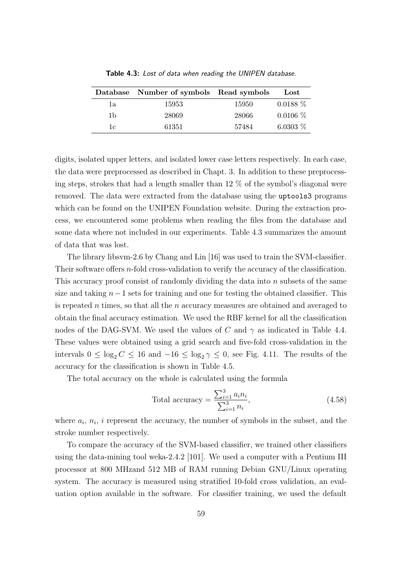|    | Database Number of symbols Read symbols |       | $_{\rm{Lost}}$ |
|----|-----------------------------------------|-------|----------------|
| 1a | 15953                                   | 15950 | $0.0188\%$     |
| 1b | 28069                                   | 28066 | $0.0106\%$     |
| 1c | 61351                                   | 57484 | 6.0303 $%$     |

Table 4.3: Lost of data when reading the UNIPEN database.

digits, isolated upper letters, and isolated lower case letters respectively. In each case, the data were preprocessed as described in Chapt. 3. In addition to these preprocessing steps, strokes that had a length smaller than 12 % of the symbol's diagonal were removed. The data were extracted from the database using the uptools3 programs which can be found on the UNIPEN Foundation website. During the extraction process, we encountered some problems when reading the files from the database and some data where not included in our experiments. Table 4.3 summarizes the amount of data that was lost.

The library libsvm-2.6 by Chang and Lin [16] was used to train the SVM-classifier. Their software offers *n*-fold cross-validation to verify the accuracy of the classification. This accuracy proof consist of randomly dividing the data into n subsets of the same size and taking  $n-1$  sets for training and one for testing the obtained classifier. This is repeated  $n$  times, so that all the  $n$  accuracy measures are obtained and averaged to obtain the final accuracy estimation. We used the RBF kernel for all the classification nodes of the DAG-SVM. We used the values of C and  $\gamma$  as indicated in Table 4.4. These values were obtained using a grid search and five-fold cross-validation in the intervals  $0 \le \log_2 C \le 16$  and  $-16 \le \log_2 \gamma \le 0$ , see Fig. 4.11. The results of the accuracy for the classification is shown in Table 4.5.

The total accuracy on the whole is calculated using the formula

Total accuracy = 
$$
\frac{\sum_{i=1}^{3} a_i n_i}{\sum_{i=1}^{3} n_i},
$$
 (4.58)

where  $a_i$ ,  $n_i$ , i represent the accuracy, the number of symbols in the subset, and the stroke number respectively.

To compare the accuracy of the SVM-based classifier, we trained other classifiers using the data-mining tool weka-2.4.2 [101]. We used a computer with a Pentium III processor at 800 MHzand 512 MB of RAM running Debian GNU/Linux operating system. The accuracy is measured using stratified 10-fold cross validation, an evaluation option available in the software. For classifier training, we used the default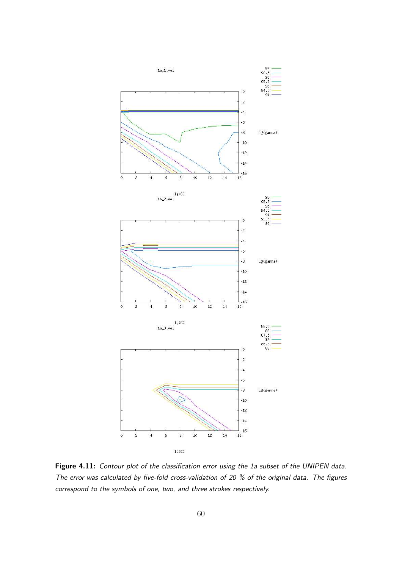

Figure 4.11: Contour plot of the classification error using the 1a subset of the UNIPEN data. The error was calculated by five-fold cross-validation of 20 % of the original data. The figures correspond to the symbols of one, two, and three strokes respectively.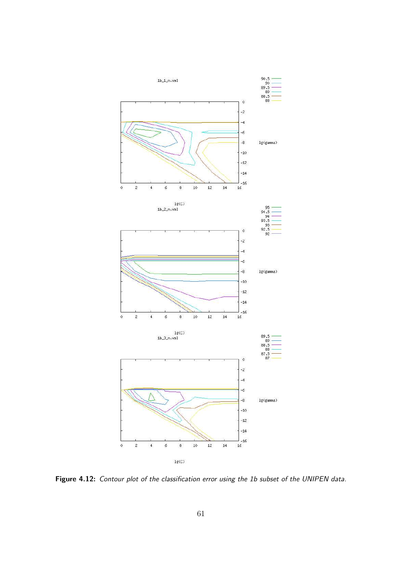

Figure 4.12: Contour plot of the classification error using the 1b subset of the UNIPEN data.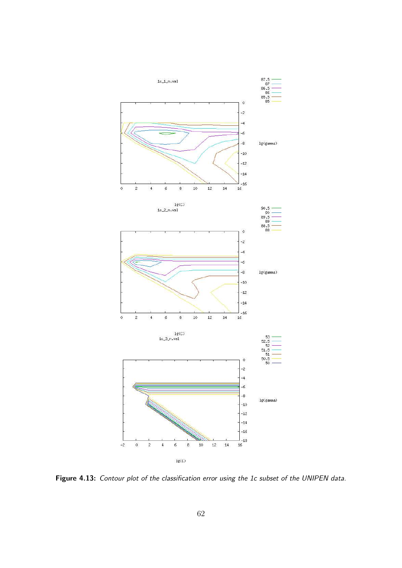

Figure 4.13: Contour plot of the classification error using the 1c subset of the UNIPEN data.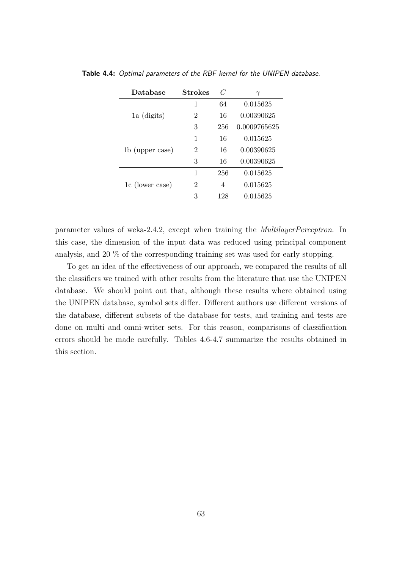| Database        | <b>Strokes</b> |     | $\gamma$     |  |
|-----------------|----------------|-----|--------------|--|
|                 | 1              | 64  | 0.015625     |  |
| 1a (digits)     | 2              | 16  | 0.00390625   |  |
|                 | 3              | 256 | 0.0009765625 |  |
|                 | 1              | 16  | 0.015625     |  |
| 1b (upper case) | 2              | 16  | 0.00390625   |  |
|                 | 3              | 16  | 0.00390625   |  |
|                 | 1              | 256 | 0.015625     |  |
| 1c (lower case) | 2              | 4   | 0.015625     |  |
|                 | 3              | 128 | 0.015625     |  |

Table 4.4: Optimal parameters of the RBF kernel for the UNIPEN database.

parameter values of weka-2.4.2, except when training the MultilayerPerceptron. In this case, the dimension of the input data was reduced using principal component analysis, and 20 % of the corresponding training set was used for early stopping.

To get an idea of the effectiveness of our approach, we compared the results of all the classifiers we trained with other results from the literature that use the UNIPEN database. We should point out that, although these results where obtained using the UNIPEN database, symbol sets differ. Different authors use different versions of the database, different subsets of the database for tests, and training and tests are done on multi and omni-writer sets. For this reason, comparisons of classification errors should be made carefully. Tables 4.6-4.7 summarize the results obtained in this section.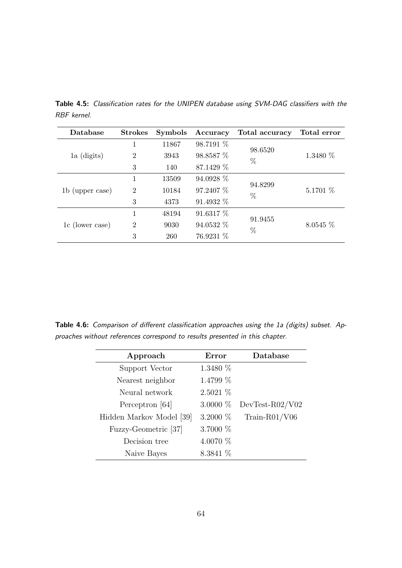| Database        | <b>Strokes</b>                      | <b>Symbols</b> | Accuracy  | Total accuracy | Total error |
|-----------------|-------------------------------------|----------------|-----------|----------------|-------------|
| 1a (digits)     |                                     | 11867          | 98.7191 % | 98.6520        |             |
|                 | $\overline{2}$                      | 3943           | 98.8587 % | %              | 1.3480 %    |
|                 | 3                                   | 140            | 87.1429 % |                |             |
|                 |                                     | 13509          | 94.0928 % |                |             |
| 1b (upper case) | $\overline{2}$                      | 10184          | 97.2407 % | 94.8299        | 5.1701 $%$  |
|                 | 3                                   | 4373           | 91.4932 % | $\%$           |             |
|                 | 1                                   | 48194          | 91.6317 % |                |             |
| 1c (lower case) | $\mathcal{D}_{\mathcal{A}}$<br>9030 | 94.0532 %      | 91.9455   | $8.0545\%$     |             |
|                 | 3                                   | 260            | 76.9231 % | %              |             |

Table 4.5: Classification rates for the UNIPEN database using SVM-DAG classifiers with the RBF kernel.

Table 4.6: Comparison of different classification approaches using the 1a (digits) subset. Approaches without references correspond to results presented in this chapter.

| Approach                 | Error      | Database          |
|--------------------------|------------|-------------------|
| Support Vector           | 1.3480 $%$ |                   |
| Nearest neighbor         | $1.4799\%$ |                   |
| Neural network           | 2.5021~%   |                   |
| Perceptron [64]          | 3.0000 $%$ | $DevTest-R02/V02$ |
| Hidden Markov Model [39] | 3.2000 $%$ | Train-R01/V06     |
| Fuzzy-Geometric [37]     | 3.7000 %   |                   |
| Decision tree            | 4.0070 %   |                   |
| Naive Bayes              | $8.3841\%$ |                   |